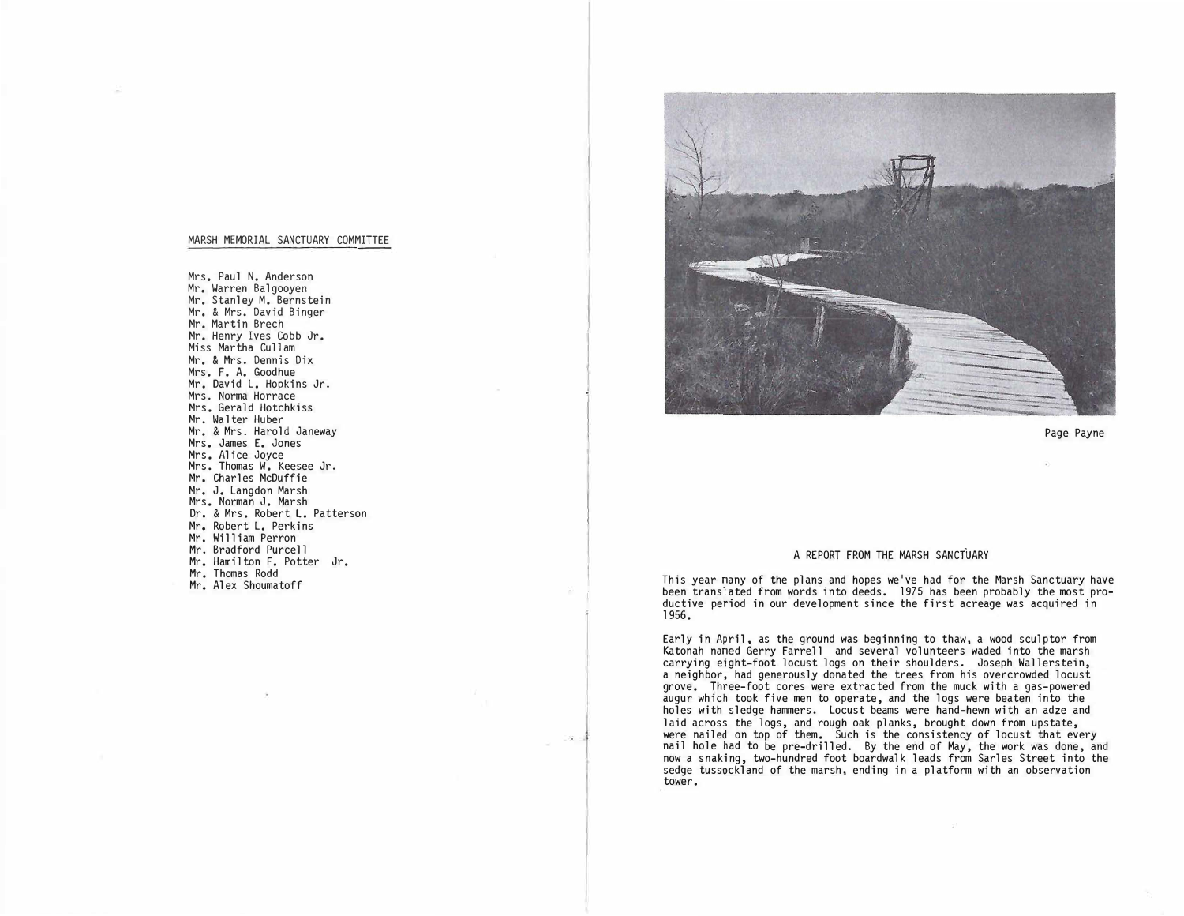## MARSH MEMORIAL SANCTUARY COMMITTEE

Mrs. Paul N. Anderson Mr. Warren Balgooyen Mr. Stanley M. Bernstein Mr. & Mrs. David Binger Mr. Martin Brech Mr. Henry Ives Cobb Jr. Miss Martha Cullam Mr. & Mrs. Dennis Dix Mrs. F. A. Goodhue Mr. David L. Hopkins Jr. Mrs. Norma Horrace Mrs. Gerald Hotchkiss Mr. Walter Huber Mr. & Mrs. Harold Janeway Mrs. James E. Jones Mrs. Alice Joyce Mrs. Thomas W. Keesee Jr. Mr. Charles McDuffie Mr, J. Langdon Marsh Mrs. Norman J. Marsh Dr. & Mrs. Robert L. Patterson Mr. Robert L. Perkins Mr. William Perron Mr. Bradford Purcell Mr. Hamilton F. Potter Jr. Mr. Thomas Rodd Mr. Alex Shoumatoff



Page Payne

## A REPORT FROM THE MARSH SANCTUARY

This year many of the plans and hopes we've had for the Marsh Sanctuary have been translated from words into deeds. 1975 has been probably the most productive period in our development since the first acreage was acquired in 1956.

Early in April, as the ground was beginning to thaw, a wood sculptor from Katonah named Gerry Farrell and several volunteers waded into the marsh carrying eight-foot locust logs on their shoulders. Joseph Wallerstein, a neighbor, had generously donated the trees from his overcrowded locust grove. Three-foot cores were extracted from the muck with a gas-powered augur which took five men to operate, and the logs were beaten into the holes with sledge hammers. Locust beams were hand-hewn with an adze and laid across the logs, and rough oak planks, brought down from upstate, were nailed on top of them. Such is the consistency of locust that every nail hole had to be pre-drilled. By the end of May, the work was done, and now a snaking, two-hundred foot boardwalk leads from Sarles Street into the sedge tussockland of the marsh, ending in a platform with an observation tower.